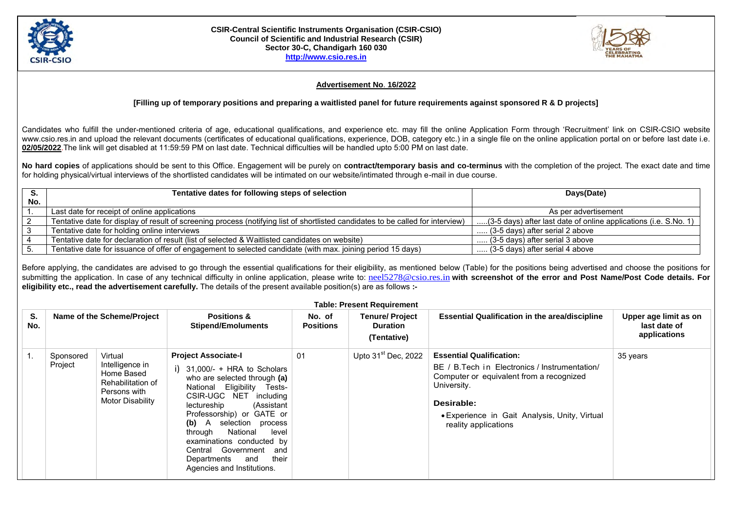

## **CSIR-Central Scientific Instruments Organisation (CSIR-CSIO) Council of Scientific and Industrial Research (CSIR) Sector 30-C, Chandigarh 160 030 [http://www.csio.res.in](http://www.csio.res.in/)**



## **Advertisement No**. **16/2022**

## **[Filling up of temporary positions and preparing a waitlisted panel for future requirements against sponsored R & D projects]**

Candidates who fulfill the under-mentioned criteria of age, educational qualifications, and experience etc. may fill the online Application Form through 'Recruitment' link on CSIR-CSIO website www.csio.res.in and upload the relevant documents (certificates of educational qualifications, experience, DOB, category etc.) in a single file on the online application portal on or before last date i.e. **02/05/2022**.The link will get disabled at 11:59:59 PM on last date. Technical difficulties will be handled upto 5:00 PM on last date.

**No hard copies** of applications should be sent to this Office. Engagement will be purely on **contract/temporary basis and co-terminus** with the completion of the project. The exact date and time for holding physical/virtual interviews of the shortlisted candidates will be intimated on our website/intimated through e-mail in due course.

|     | Tentative dates for following steps of selection                                                                                | Days(Date)                                                       |  |
|-----|---------------------------------------------------------------------------------------------------------------------------------|------------------------------------------------------------------|--|
| No. |                                                                                                                                 |                                                                  |  |
|     | Last date for receipt of online applications                                                                                    | As per advertisement                                             |  |
|     | Tentative date for display of result of screening process (notifying list of shortlisted candidates to be called for interview) | (3-5 days) after last date of online applications (i.e. S.No. 1) |  |
|     | Tentative date for holding online interviews                                                                                    | (3-5 days) after serial 2 above                                  |  |
|     | Tentative date for declaration of result (list of selected & Waitlisted candidates on website)                                  | $\ldots$ (3-5 days) after serial 3 above                         |  |
|     | Tentative date for issuance of offer of engagement to selected candidate (with max. joining period 15 days)                     | (3-5 days) after serial 4 above                                  |  |

Before applying, the candidates are advised to go through the essential qualifications for their eligibility, as mentioned below (Table) for the positions being advertised and choose the positions for submitting the application. In case of any technical difficulty in online application, please write to: [neel5278@csio.res.in](mailto:neel5278@csio.res.in) with screenshot of the error and Post Name/Post Code details. For **eligibility etc., read the advertisement carefully.** The details of the present available position(s) are as follows **:-**

|    | <b>Table: Present Requirement</b> |                                                                                                   |                                                                                                                                                                                                                                                                                                                                                                                                       |                            |                                                         |                                                                                                                                                                                                                                     |                                                       |  |
|----|-----------------------------------|---------------------------------------------------------------------------------------------------|-------------------------------------------------------------------------------------------------------------------------------------------------------------------------------------------------------------------------------------------------------------------------------------------------------------------------------------------------------------------------------------------------------|----------------------------|---------------------------------------------------------|-------------------------------------------------------------------------------------------------------------------------------------------------------------------------------------------------------------------------------------|-------------------------------------------------------|--|
| S. | No.                               | Name of the Scheme/Project                                                                        | <b>Positions &amp;</b><br><b>Stipend/Emoluments</b>                                                                                                                                                                                                                                                                                                                                                   | No. of<br><b>Positions</b> | <b>Tenure/Project</b><br><b>Duration</b><br>(Tentative) | <b>Essential Qualification in the area/discipline</b>                                                                                                                                                                               | Upper age limit as on<br>last date of<br>applications |  |
|    | Sponsored<br>Project              | Virtual<br>Intelligence in<br>Home Based<br>Rehabilitation of<br>Persons with<br>Motor Disability | <b>Project Associate-I</b><br>i) $31,000/- + HRA$ to Scholars<br>who are selected through (a)<br>National Eligibility Tests-<br>CSIR-UGC NET including<br>(Assistant<br>lectureship<br>Professorship) or GATE or<br>A selection process<br>(b)<br>National<br>through<br>level<br>examinations conducted by<br>Central Government<br>and<br>Departments<br>their<br>and<br>Agencies and Institutions. | 01                         | Upto $31st$ Dec, 2022                                   | <b>Essential Qualification:</b><br>BE / B. Tech in Electronics / Instrumentation/<br>Computer or equivalent from a recognized<br>University.<br>Desirable:<br>• Experience in Gait Analysis, Unity, Virtual<br>reality applications | 35 years                                              |  |